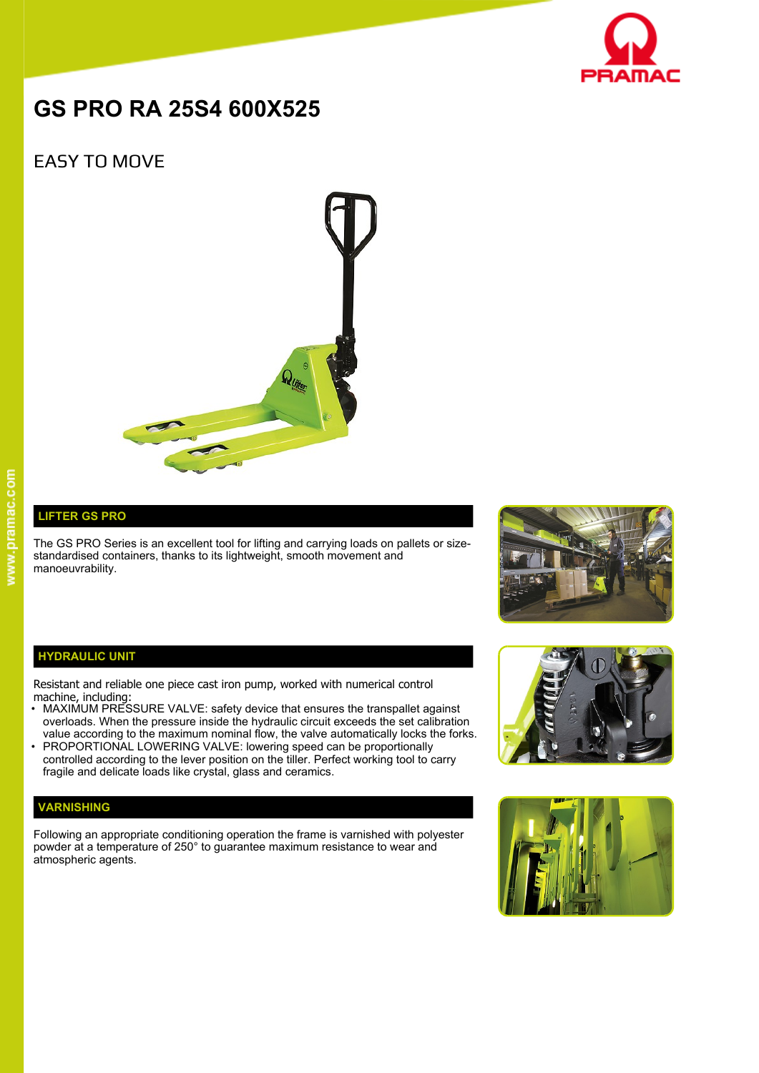

# **GS PRO RA 25S4 600X525**

## EASY TO MOVE



### **LIFTER GS PRO**

The GS PRO Series is an excellent tool for lifting and carrying loads on pallets or sizestandardised containers, thanks to its lightweight, smooth movement and manoeuvrability.



#### **HYDRAULIC UNIT**

Resistant and reliable one piece cast iron pump, worked with numerical control machine, including:

- MAXIMUM PRESSURE VALVE: safety device that ensures the transpallet against overloads. When the pressure inside the hydraulic circuit exceeds the set calibration value according to the maximum nominal flow, the valve automatically locks the forks.
- PROPORTIONAL LOWERING VALVE: lowering speed can be proportionally controlled according to the lever position on the tiller. Perfect working tool to carry fragile and delicate loads like crystal, glass and ceramics.

#### **VARNISHING**

Following an appropriate conditioning operation the frame is varnished with polyester powder at a temperature of 250° to guarantee maximum resistance to wear and atmospheric agents.



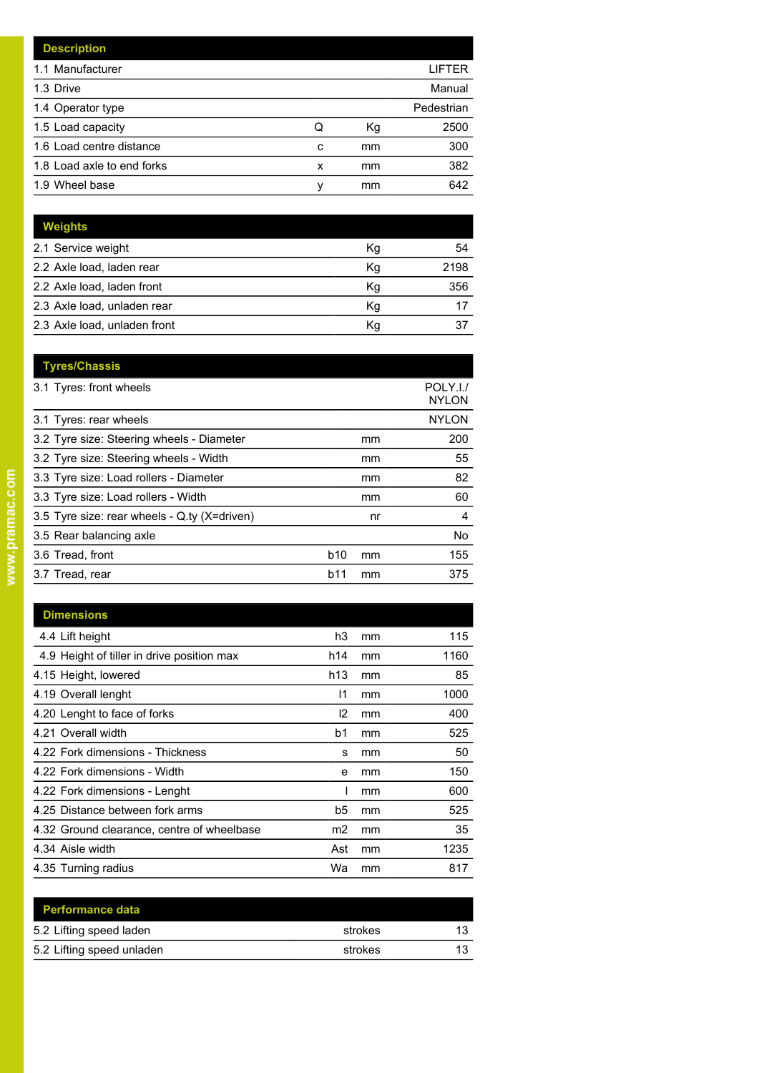|   |    | LIFTER     |
|---|----|------------|
|   |    | Manual     |
|   |    | Pedestrian |
| Q | Кg | 2500       |
| c | mm | 300        |
| x | mm | 382        |
| ν | mm | 642        |
|   |    |            |

| <b>Weights</b>               |    |      |
|------------------------------|----|------|
| 2.1 Service weight           | Кg | 54   |
| 2.2 Axle load, laden rear    | Kg | 2198 |
| 2.2 Axle load, laden front   | Kg | 356  |
| 2.3 Axle load, unladen rear  | Κq |      |
| 2.3 Axle load, unladen front | Κq |      |

|            |    | POLY.I./<br><b>NYLON</b> |
|------------|----|--------------------------|
|            |    | <b>NYLON</b>             |
|            | mm | 200                      |
|            | mm | 55                       |
|            | mm | 82                       |
|            | mm | 60                       |
|            | nr | 4                        |
|            |    | No.                      |
| <b>b10</b> | mm | 155                      |
| b11        | mm | 375                      |
|            |    |                          |

| <b>Dimensions</b>                          |                 |    |      |
|--------------------------------------------|-----------------|----|------|
| 4.4 Lift height                            | h3              | mm | 115  |
| 4.9 Height of tiller in drive position max | h14             | mm | 1160 |
| 4.15 Height, lowered                       | h <sub>13</sub> | mm | 85   |
| 4.19 Overall lenght                        | 11              | mm | 1000 |
| 4.20 Lenght to face of forks               | 12              | mm | 400  |
| 4.21 Overall width                         | b1              | mm | 525  |
| 4.22 Fork dimensions - Thickness           | s               | mm | 50   |
| 4.22 Fork dimensions - Width               | e               | mm | 150  |
| 4.22 Fork dimensions - Lenght              |                 | mm | 600  |
| 4.25 Distance between fork arms            | b5              | mm | 525  |
| 4.32 Ground clearance, centre of wheelbase | m2              | mm | 35   |
| 4.34 Aisle width                           | Ast             | mm | 1235 |
| 4.35 Turning radius                        | Wa              | mm | 817  |

| <b>Performance data</b>   |         |    |
|---------------------------|---------|----|
| 5.2 Lifting speed laden   | strokes | 13 |
| 5.2 Lifting speed unladen | strokes | 13 |
|                           |         |    |